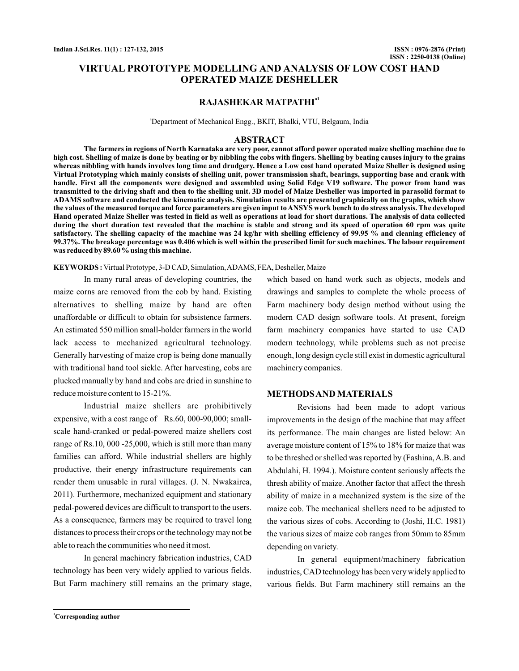# **VIRTUAL PROTOTYPE MODELLING AND ANALYSIS OF LOW COST HAND OPERATED MAIZE DESHELLER**

# **RAJASHEKAR MATPATHIa1**

<sup>a</sup>Department of Mechanical Engg., BKIT, Bhalki, VTU, Belgaum, India

## **ABSTRACT**

**The farmers in regions of North Karnataka are very poor, cannot afford power operated maize shelling machine due to high cost. Shelling of maize is done by beating or by nibbling the cobs with fingers. Shelling by beating causes injury to the grains whereas nibbling with hands involves long time and drudgery. Hence a Low cost hand operated Maize Sheller is designed using Virtual Prototyping which mainly consists of shelling unit, power transmission shaft, bearings, supporting base and crank with handle. First all the components were designed and assembled using Solid Edge V19 software. The power from hand was transmitted to the driving shaft and then to the shelling unit. 3D model of Maize Desheller was imported in parasolid format to ADAMS software and conducted the kinematic analysis. Simulation results are presented graphically on the graphs, which show the values of the measured torque and force parameters are given input toANSYS work bench to do stress analysis. The developed Hand operated Maize Sheller was tested in field as well as operations at load for short durations. The analysis of data collected during the short duration test revealed that the machine is stable and strong and its speed of operation 60 rpm was quite satisfactory. The shelling capacity of the machine was 24 kg/hr with shelling efficiency of 99.95 % and cleaning efficiency of 99.37%. The breakage percentage was 0.406 which is well within the prescribed limit for such machines. The labour requirement was reduced by 89.60 % using this machine.**

**KEYWORDS :** Virtual Prototype, 3-D CAD, Simulation,ADAMS, FEA, Desheller, Maize

In many rural areas of developing countries, the maize corns are removed from the cob by hand. Existing alternatives to shelling maize by hand are often unaffordable or difficult to obtain for subsistence farmers. An estimated 550 million small-holder farmers in the world lack access to mechanized agricultural technology. Generally harvesting of maize crop is being done manually with traditional hand tool sickle. After harvesting, cobs are plucked manually by hand and cobs are dried in sunshine to reduce moisture content to 15-21%.

Industrial maize shellers are prohibitively expensive, with a cost range of Rs.60, 000-90,000; smallscale hand-cranked or pedal-powered maize shellers cost range of Rs.10, 000 -25,000, which is still more than many families can afford. While industrial shellers are highly productive, their energy infrastructure requirements can render them unusable in rural villages. (J. N. Nwakairea, 2011). Furthermore, mechanized equipment and stationary pedal-powered devices are difficult to transport to the users. As a consequence, farmers may be required to travel long distances to process their crops or the technology may not be able to reach the communities who need it most.

In general machinery fabrication industries, CAD technology has been very widely applied to various fields. But Farm machinery still remains an the primary stage, which based on hand work such as objects, models and drawings and samples to complete the whole process of Farm machinery body design method without using the modern CAD design software tools. At present, foreign farm machinery companies have started to use CAD modern technology, while problems such as not precise enough, long design cycle still exist in domestic agricultural machinery companies.

## **METHODSAND MATERIALS**

Revisions had been made to adopt various improvements in the design of the machine that may affect its performance. The main changes are listed below: An average moisture content of 15% to 18% for maize that was to be threshed or shelled was reported by (Fashina,A.B. and Abdulahi, H. 1994.). Moisture content seriously affects the thresh ability of maize. Another factor that affect the thresh ability of maize in a mechanized system is the size of the maize cob. The mechanical shellers need to be adjusted to the various sizes of cobs. According to (Joshi, H.C. 1981) the various sizes of maize cob ranges from 50mm to 85mm depending on variety.

In general equipment/machinery fabrication industries, CAD technology has been very widely applied to various fields. But Farm machinery still remains an the

**<sup>1</sup>Corresponding author**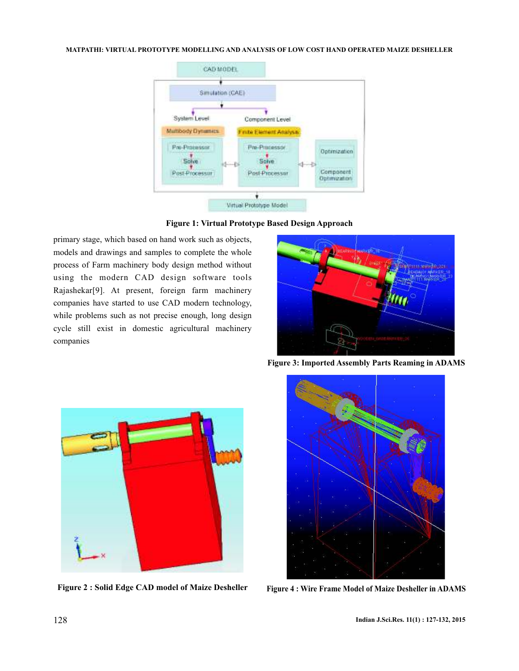## **MATPATHI: VIRTUAL PROTOTYPE MODELLING AND ANALYSIS OF LOW COST HAND OPERATED MAIZE DESHELLER**



**Figure 1: Virtual Prototype Based Design Approach**

primary stage, which based on hand work such as objects, models and drawings and samples to complete the whole process of Farm machinery body design method without using the modern CAD design software tools Rajashekar[9]. At present, foreign farm machinery companies have started to use CAD modern technology, while problems such as not precise enough, long design cycle still exist in domestic agricultural machinery companies



**Figure 3: Imported Assembly Parts Reaming in ADAMS**



**Figure 2 : Solid Edge CAD model of Maize Desheller**



**Figure 4 : Wire Frame Model of Maize Desheller in ADAMS**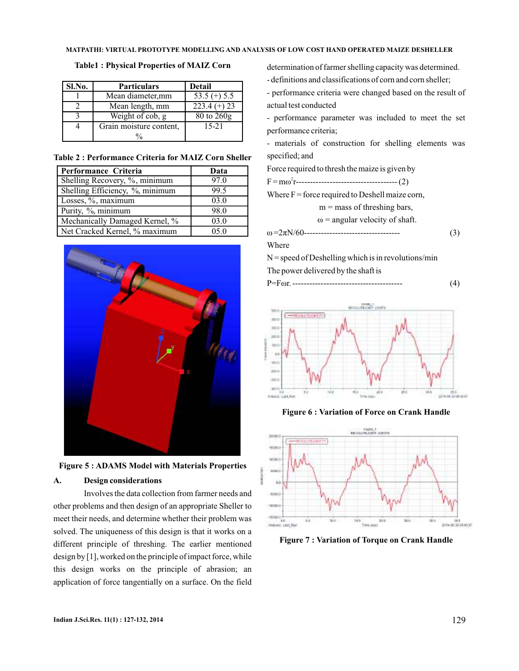## **Table1 : Physical Properties of MAIZ Corn**

| Sl.No. | <b>Particulars</b>      | Detail           |
|--------|-------------------------|------------------|
|        | Mean diameter, mm       | $53.5$ (+) $5.5$ |
|        | Mean length, mm         | $223.4 (+) 23$   |
|        | Weight of cob, g        | $80$ to $260g$   |
|        | Grain moisture content, | $15 - 21$        |
|        |                         |                  |

**Table 2 : Performance Criteria for MAIZ Corn Sheller**

| Performance Criteria            | Data |
|---------------------------------|------|
| Shelling Recovery, %, minimum   | 97.0 |
| Shelling Efficiency, %, minimum | 99.5 |
| Losses, %, maximum              | 03.0 |
| Purity, %, minimum              | 98.0 |
| Mechanically Damaged Kernel, %  | 03.0 |
| Net Cracked Kernel, % maximum   | 05.0 |





## **A. Design considerations**

Involves the data collection from farmer needs and other problems and then design of an appropriate Sheller to meet their needs, and determine whether their problem was solved. The uniqueness of this design is that it works on a different principle of threshing. The earlier mentioned design by [1], worked on the principle of impact force, while this design works on the principle of abrasion; an application of force tangentially on a surface. On the field

determination of farmer shelling capacity was determined.

- definitions and classifications of corn and corn sheller;

- performance criteria were changed based on the result of actual test conducted

- performance parameter was included to meet the set performance criteria;

- materials of construction for shelling elements was specified; and

Force required to thresh the maize is given by

F = m r------------------------------------ (2) ω 2

Where  $F =$  force required to Deshell maize corn,

 $m =$  mass of threshing bars,

 $\omega$  = angular velocity of shaft.

ω π =2 N/60---------------------------------- (3)

#### Where

 $N =$  speed of Deshelling which is in revolutions/min The power delivered by the shaft is

|--|--|



### **Figure 6 : Variation of Force on Crank Handle**



**Figure 7 : Variation of Torque on Crank Handle**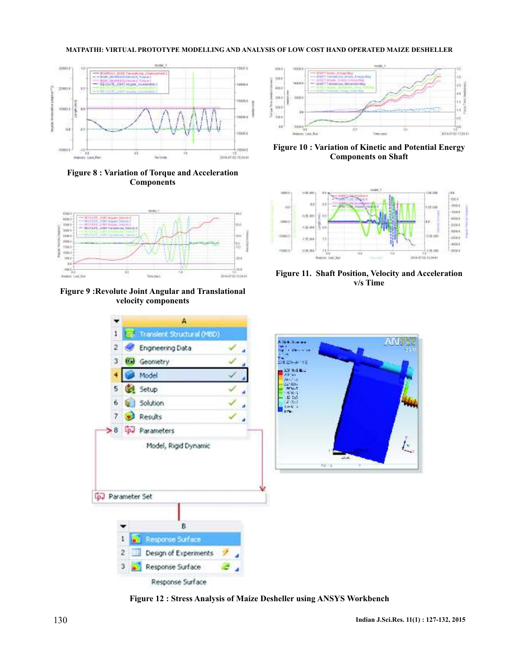### **MATPATHI: VIRTUAL PROTOTYPE MODELLING AND ANALYSIS OF LOW COST HAND OPERATED MAIZE DESHELLER**



**Figure 8 : Variation of Torque and Acceleration Components**



**Figure 9 :Revolute Joint Angular and Translational velocity components**



**Figure 10 : Variation of Kinetic and Potential Energy Components on Shaft**



**Figure 11. Shaft Position, Velocity and Acceleration v/s Time**



**Figure 12 : Stress Analysis of Maize Desheller using ANSYS Workbench**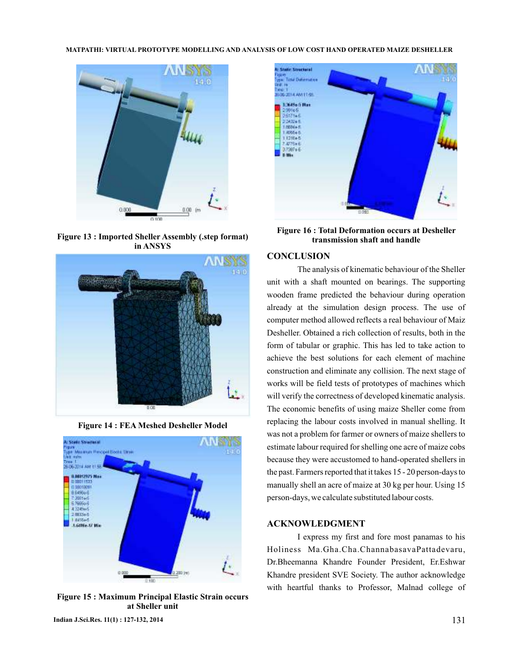

**Figure 13 : Imported Sheller Assembly (.step format) in ANSYS**



**Figure 14 : FEA Meshed Desheller Model**



**Figure 15 : Maximum Principal Elastic Strain occurs at Sheller unit**



**Figure 16 : Total Deformation occurs at Desheller transmission shaft and handle**

## **CONCLUSION**

The analysis of kinematic behaviour of the Sheller unit with a shaft mounted on bearings. The supporting wooden frame predicted the behaviour during operation already at the simulation design process. The use of computer method allowed reflects a real behaviour of Maiz Desheller. Obtained a rich collection of results, both in the form of tabular or graphic. This has led to take action to achieve the best solutions for each element of machine construction and eliminate any collision. The next stage of works will be field tests of prototypes of machines which will verify the correctness of developed kinematic analysis. The economic benefits of using maize Sheller come from replacing the labour costs involved in manual shelling. It was not a problem for farmer or owners of maize shellers to estimate labour required for shelling one acre of maize cobs because they were accustomed to hand-operated shellers in the past. Farmers reported that it takes 15 - 20 person-days to manually shell an acre of maize at 30 kg per hour. Using 15 person-days, we calculate substituted labour costs.

## **ACKNOWLEDGMENT**

I express my first and fore most panamas to his Holiness Ma.Gha.Cha.ChannabasavaPattadevaru, Dr.Bheemanna Khandre Founder President, Er.Eshwar Khandre president SVE Society. The author acknowledge with heartful thanks to Professor, Malnad college of

**Indian J.Sci.Res. 11(1) : 127-132, 2014** 131